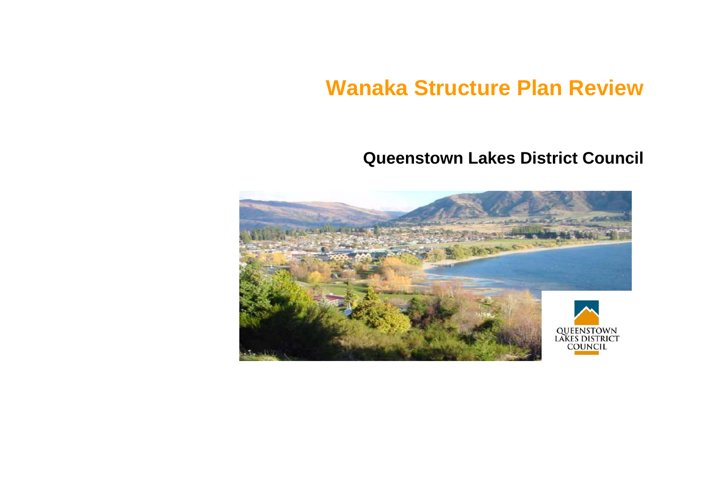# **Wanaka Structure Plan Review**

# **Queenstown Lakes District Council**

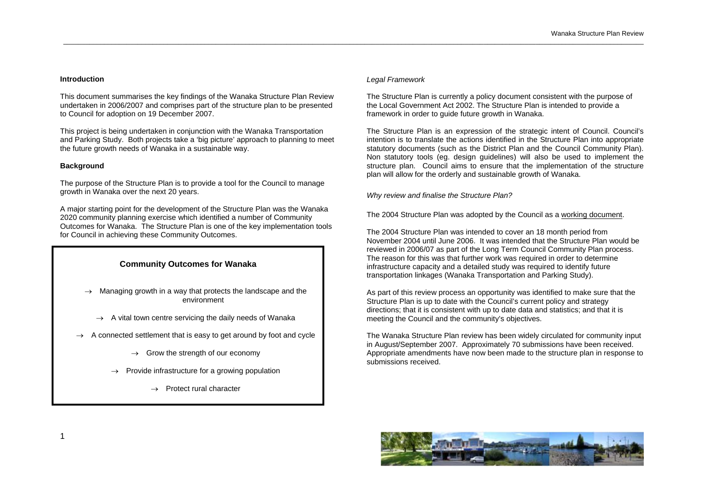# **Introduction**

This document summarises the key findings of the Wanaka Structure Plan Review undertaken in 2006/2007 and comprises part of the structure plan to be presented to Council for adoption on 19 December 2007.

This project is being undertaken in conjunction with the Wanaka Transportation and Parking Study. Both projects take a 'big picture' approach to planning to meet the future growth needs of Wanaka in a sustainable way.

# **Background**

The purpose of the Structure Plan is to provide a tool for the Council to manage growth in Wanaka over the next 20 years.

A major starting point for the development of the Structure Plan was the Wanaka 2020 community planning exercise which identified a number of Community Outcomes for Wanaka. The Structure Plan is one of the key implementation tools for Council in achieving these Community Outcomes.

# **Community Outcomes for Wanaka**

- $\rightarrow$  Managing growth in a way that protects the landscape and the environment
	- $\rightarrow$  A vital town centre servicing the daily needs of Wanaka
- $\rightarrow$  A connected settlement that is easy to get around by foot and cycle
	- $\rightarrow$  Grow the strength of our economy
	- $\rightarrow$  Provide infrastructure for a growing population
		- $\rightarrow$  Protect rural character

#### *Legal Framework*

\_\_\_\_\_\_\_\_\_\_\_\_\_\_\_\_\_\_\_\_\_\_\_\_\_\_\_\_\_\_\_\_\_\_\_\_\_\_\_\_\_\_\_\_\_\_\_\_\_\_\_\_\_\_\_\_\_\_\_\_\_\_\_\_\_\_\_\_\_\_\_\_\_\_\_\_\_\_\_\_\_\_\_\_\_\_\_\_\_\_\_\_\_\_\_\_\_\_\_\_\_\_\_\_\_\_\_\_\_\_\_\_\_\_\_\_\_\_\_\_\_\_\_\_\_\_\_\_\_\_\_\_\_\_\_\_\_\_\_\_\_\_\_\_\_\_\_\_\_\_\_\_\_\_\_\_

The Structure Plan is currently a policy document consistent with the purpose of the Local Government Act 2002. The Structure Plan is intended to provide a framework in order to guide future growth in Wanaka.

The Structure Plan is an expression of the strategic intent of Council. Council's intention is to translate the actions identified in the Structure Plan into appropriate statutory documents (such as the District Plan and the Council Community Plan). Non statutory tools (eg. design guidelines) will also be used to implement the structure plan. Council aims to ensure that the implementation of the structure plan will allow for the orderly and sustainable growth of Wanaka.

*Why review and finalise the Structure Plan?* 

The 2004 Structure Plan was adopted by the Council as a working document.

The 2004 Structure Plan was intended to cover an 18 month period from November 2004 until June 2006. It was intended that the Structure Plan would be reviewed in 2006/07 as part of the Long Term Council Community Plan process. The reason for this was that further work was required in order to determine infrastructure capacity and a detailed study was required to identify future transportation linkages (Wanaka Transportation and Parking Study).

As part of this review process an opportunity was identified to make sure that the Structure Plan is up to date with the Council's current policy and strategy directions; that it is consistent with up to date data and statistics; and that it is meeting the Council and the community's objectives.

The Wanaka Structure Plan review has been widely circulated for community input in August/September 2007. Approximately 70 submissions have been received. Appropriate amendments have now been made to the structure plan in response to submissions received.

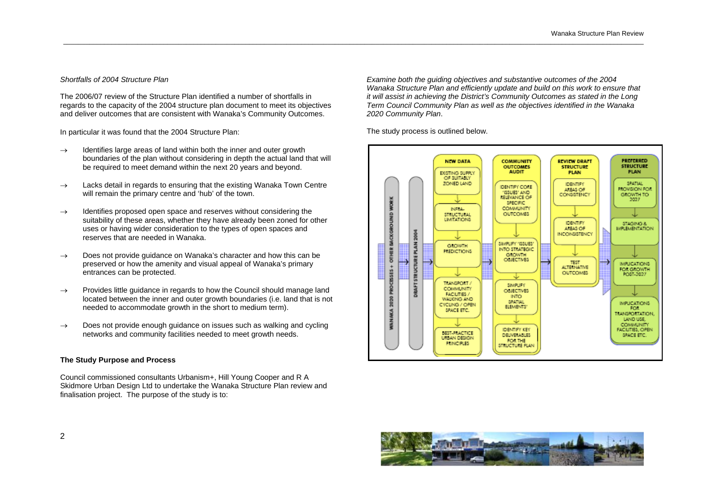# *Shortfalls of 2004 Structure Plan*

The 2006/07 review of the Structure Plan identified a number of shortfalls in regards to the capacity of the 2004 structure plan document to meet its objectives and deliver outcomes that are consistent with Wanaka's Community Outcomes.

In particular it was found that the 2004 Structure Plan:

- $\rightarrow$  Identifies large areas of land within both the inner and outer growth boundaries of the plan without considering in depth the actual land that will be required to meet demand within the next 20 years and beyond.
- $\rightarrow$  Lacks detail in regards to ensuring that the existing Wanaka Town Centre will remain the primary centre and 'hub' of the town.
- $\rightarrow$  Identifies proposed open space and reserves without considering the suitability of these areas, whether they have already been zoned for other uses or having wider consideration to the types of open spaces and reserves that are needed in Wanaka.
- $\rightarrow$  Does not provide quidance on Wanaka's character and how this can be preserved or how the amenity and visual appeal of Wanaka's primary entrances can be protected.
- $\rightarrow$  Provides little quidance in regards to how the Council should manage land located between the inner and outer growth boundaries (i.e. land that is not needed to accommodate growth in the short to medium term).
- $\rightarrow$  Does not provide enough guidance on issues such as walking and cycling networks and community facilities needed to meet growth needs.

# **The Study Purpose and Process**

Council commissioned consultants Urbanism+, Hill Young Cooper and R A Skidmore Urban Design Ltd to undertake the Wanaka Structure Plan review and finalisation project. The purpose of the study is to:

*Examine both the guiding objectives and substantive outcomes of the 2004 Wanaka Structure Plan and efficiently update and build on this work to ensure that it will assist in achieving the District's Community Outcomes as stated in the Long Term Council Community Plan as well as the objectives identified in the Wanaka 2020 Community Plan*.

The study process is outlined below.



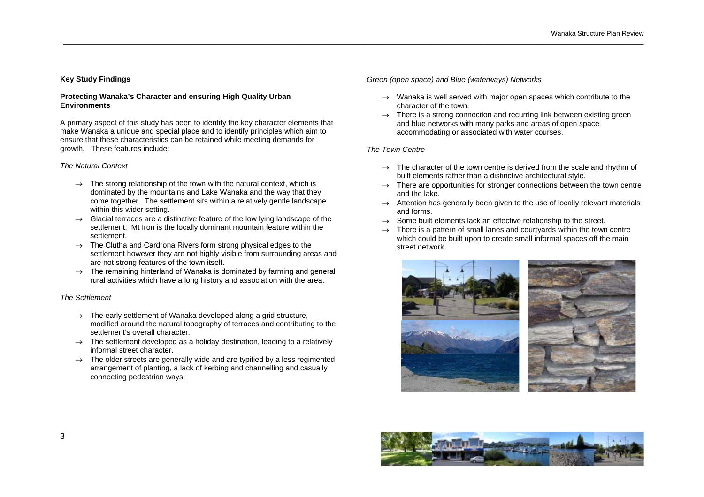# **Key Study Findings**

#### **Protecting Wanaka's Character and ensuring High Quality Urban Environments**

A primary aspect of this study has been to identify the key character elements that make Wanaka a unique and special place and to identify principles which aim to ensure that these characteristics can be retained while meeting demands for growth. These features include:

#### *The Natural Context*

- $\rightarrow$  The strong relationship of the town with the natural context, which is dominated by the mountains and Lake Wanaka and the way that they come together. The settlement sits within a relatively gentle landscape within this wider setting.
- $\rightarrow$  Glacial terraces are a distinctive feature of the low lying landscape of the settlement. Mt Iron is the locally dominant mountain feature within the settlement.
- $\rightarrow$  The Clutha and Cardrona Rivers form strong physical edges to the settlement however they are not highly visible from surrounding areas and are not strong features of the town itself.
- $\rightarrow$  The remaining hinterland of Wanaka is dominated by farming and general rural activities which have a long history and association with the area.

#### *The Settlement*

- $\rightarrow$  The early settlement of Wanaka developed along a grid structure, modified around the natural topography of terraces and contributing to the settlement's overall character.
- $\rightarrow$  The settlement developed as a holiday destination, leading to a relatively informal street character.
- $\rightarrow$  The older streets are generally wide and are typified by a less regimented arrangement of planting, a lack of kerbing and channelling and casually connecting pedestrian ways.

# *Green (open space) and Blue (waterways) Networks*

- $\rightarrow$  Wanaka is well served with major open spaces which contribute to the character of the town.
- $\rightarrow$  There is a strong connection and recurring link between existing green and blue networks with many parks and areas of open space accommodating or associated with water courses.

#### *The Town Centre*

- $\rightarrow$  The character of the town centre is derived from the scale and rhythm of built elements rather than a distinctive architectural style.
- $\rightarrow$  There are opportunities for stronger connections between the town centre and the lake.
- $\rightarrow$  Attention has generally been given to the use of locally relevant materials and forms.
- $\rightarrow$  Some built elements lack an effective relationship to the street.
- $\rightarrow$  There is a pattern of small lanes and courtvards within the town centre which could be built upon to create small informal spaces off the main street network.



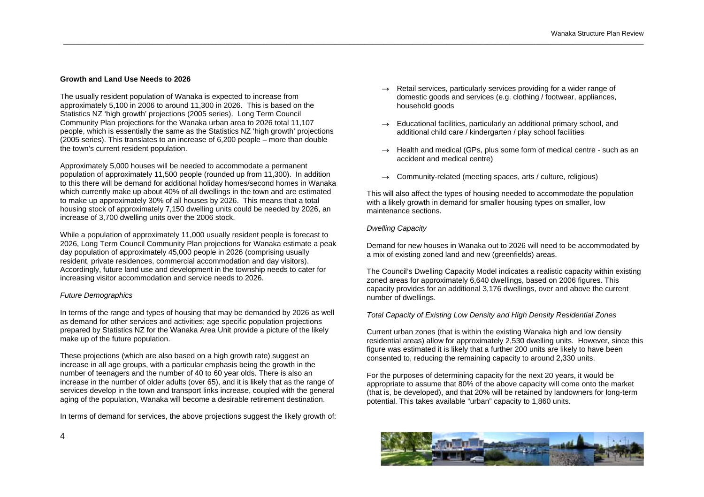# **Growth and Land Use Needs to 2026**

The usually resident population of Wanaka is expected to increase from approximately 5,100 in 2006 to around 11,300 in 2026. This is based on the Statistics NZ 'high growth' projections (2005 series). Long Term Council Community Plan projections for the Wanaka urban area to 2026 total 11,107 people, which is essentially the same as the Statistics NZ 'high growth' projections (2005 series). This translates to an increase of 6,200 people – more than double the town's current resident population.

Approximately 5,000 houses will be needed to accommodate a permanent population of approximately 11,500 people (rounded up from 11,300). In addition to this there will be demand for additional holiday homes/second homes in Wanaka which currently make up about 40% of all dwellings in the town and are estimated to make up approximately 30% of all houses by 2026. This means that a total housing stock of approximately 7,150 dwelling units could be needed by 2026, an increase of 3,700 dwelling units over the 2006 stock.

While a population of approximately 11,000 usually resident people is forecast to 2026, Long Term Council Community Plan projections for Wanaka estimate a peak day population of approximately 45,000 people in 2026 (comprising usually resident, private residences, commercial accommodation and day visitors). Accordingly, future land use and development in the township needs to cater for increasing visitor accommodation and service needs to 2026.

# *Future Demographics*

In terms of the range and types of housing that may be demanded by 2026 as well as demand for other services and activities; age specific population projections prepared by Statistics NZ for the Wanaka Area Unit provide a picture of the likely make up of the future population.

These projections (which are also based on a high growth rate) suggest an increase in all age groups, with a particular emphasis being the growth in the number of teenagers and the number of 40 to 60 year olds. There is also an increase in the number of older adults (over 65), and it is likely that as the range of services develop in the town and transport links increase, coupled with the general aging of the population, Wanaka will become a desirable retirement destination.

In terms of demand for services, the above projections suggest the likely growth of:

- $\rightarrow$  Retail services, particularly services providing for a wider range of domestic goods and services (e.g. clothing / footwear, appliances, household goods
- Educational facilities, particularly an additional primary school, and additional child care / kindergarten / play school facilities
- $\rightarrow$  Health and medical (GPs, plus some form of medical centre such as an accident and medical centre)
- $\rightarrow$  Community-related (meeting spaces, arts / culture, religious)

This will also affect the types of housing needed to accommodate the population with a likely growth in demand for smaller housing types on smaller, low maintenance sections.

#### *Dwelling Capacity*

\_\_\_\_\_\_\_\_\_\_\_\_\_\_\_\_\_\_\_\_\_\_\_\_\_\_\_\_\_\_\_\_\_\_\_\_\_\_\_\_\_\_\_\_\_\_\_\_\_\_\_\_\_\_\_\_\_\_\_\_\_\_\_\_\_\_\_\_\_\_\_\_\_\_\_\_\_\_\_\_\_\_\_\_\_\_\_\_\_\_\_\_\_\_\_\_\_\_\_\_\_\_\_\_\_\_\_\_\_\_\_\_\_\_\_\_\_\_\_\_\_\_\_\_\_\_\_\_\_\_\_\_\_\_\_\_\_\_\_\_\_\_\_\_\_\_\_\_\_\_\_\_\_\_\_\_

Demand for new houses in Wanaka out to 2026 will need to be accommodated by a mix of existing zoned land and new (greenfields) areas.

The Council's Dwelling Capacity Model indicates a realistic capacity within existing zoned areas for approximately 6,640 dwellings, based on 2006 figures. This capacity provides for an additional 3,176 dwellings, over and above the current number of dwellings.

# *Total Capacity of Existing Low Density and High Density Residential Zones*

Current urban zones (that is within the existing Wanaka high and low density residential areas) allow for approximately 2,530 dwelling units. However, since this figure was estimated it is likely that a further 200 units are likely to have been consented to, reducing the remaining capacity to around 2,330 units.

For the purposes of determining capacity for the next 20 years, it would be appropriate to assume that 80% of the above capacity will come onto the market (that is, be developed), and that 20% will be retained by landowners for long-term potential. This takes available "urban" capacity to 1,860 units.

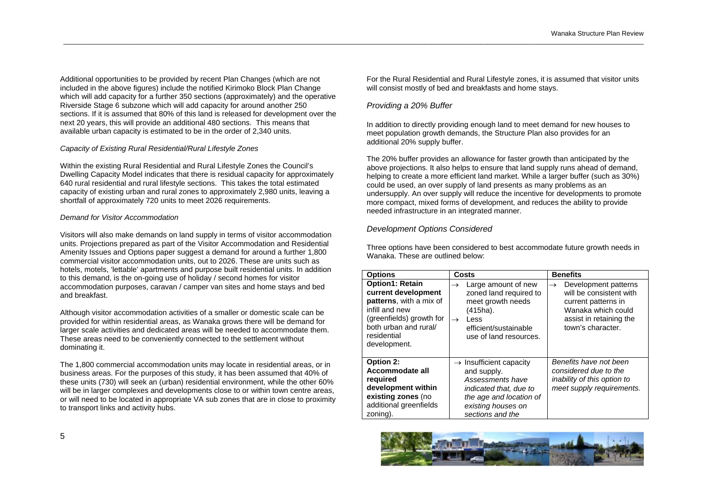Additional opportunities to be provided by recent Plan Changes (which are not included in the above figures) include the notified Kirimoko Block Plan Change which will add capacity for a further 350 sections (approximately) and the operative Riverside Stage 6 subzone which will add capacity for around another 250 sections. If it is assumed that 80% of this land is released for development over the next 20 years, this will provide an additional 480 sections. This means that available urban capacity is estimated to be in the order of 2,340 units.

# *Capacity of Existing Rural Residential/Rural Lifestyle Zones*

Within the existing Rural Residential and Rural Lifestyle Zones the Council's Dwelling Capacity Model indicates that there is residual capacity for approximately 640 rural residential and rural lifestyle sections. This takes the total estimated capacity of existing urban and rural zones to approximately 2,980 units, leaving a shortfall of approximately 720 units to meet 2026 requirements.

# *Demand for Visitor Accommodation*

Visitors will also make demands on land supply in terms of visitor accommodation units. Projections prepared as part of the Visitor Accommodation and Residential Amenity Issues and Options paper suggest a demand for around a further 1,800 commercial visitor accommodation units, out to 2026. These are units such as hotels, motels, 'lettable' apartments and purpose built residential units. In addition to this demand, is the on-going use of holiday / second homes for visitor accommodation purposes, caravan / camper van sites and home stays and bed and breakfast.

Although visitor accommodation activities of a smaller or domestic scale can be provided for within residential areas, as Wanaka grows there will be demand for larger scale activities and dedicated areas will be needed to accommodate them. These areas need to be conveniently connected to the settlement without dominating it.

The 1,800 commercial accommodation units may locate in residential areas, or in business areas. For the purposes of this study, it has been assumed that 40% of these units (730) will seek an (urban) residential environment, while the other 60% will be in larger complexes and developments close to or within town centre areas, or will need to be located in appropriate VA sub zones that are in close to proximity to transport links and activity hubs.

For the Rural Residential and Rural Lifestyle zones, it is assumed that visitor units will consist mostly of bed and breakfasts and home stays.

# *Providing a 20% Buffer*

\_\_\_\_\_\_\_\_\_\_\_\_\_\_\_\_\_\_\_\_\_\_\_\_\_\_\_\_\_\_\_\_\_\_\_\_\_\_\_\_\_\_\_\_\_\_\_\_\_\_\_\_\_\_\_\_\_\_\_\_\_\_\_\_\_\_\_\_\_\_\_\_\_\_\_\_\_\_\_\_\_\_\_\_\_\_\_\_\_\_\_\_\_\_\_\_\_\_\_\_\_\_\_\_\_\_\_\_\_\_\_\_\_\_\_\_\_\_\_\_\_\_\_\_\_\_\_\_\_\_\_\_\_\_\_\_\_\_\_\_\_\_\_\_\_\_\_\_\_\_\_\_\_\_\_\_

In addition to directly providing enough land to meet demand for new houses to meet population growth demands, the Structure Plan also provides for an additional 20% supply buffer.

The 20% buffer provides an allowance for faster growth than anticipated by the above projections. It also helps to ensure that land supply runs ahead of demand, helping to create a more efficient land market. While a larger buffer (such as 30%) could be used, an over supply of land presents as many problems as an undersupply. An over supply will reduce the incentive for developments to promote more compact, mixed forms of development, and reduces the ability to provide needed infrastructure in an integrated manner.

# *Development Options Considered*

Three options have been considered to best accommodate future growth needs in Wanaka. These are outlined below:

| <b>Options</b>                                                                                                                                                                 | Costs                                                                                                                                                                       | <b>Benefits</b>                                                                                                                                               |  |
|--------------------------------------------------------------------------------------------------------------------------------------------------------------------------------|-----------------------------------------------------------------------------------------------------------------------------------------------------------------------------|---------------------------------------------------------------------------------------------------------------------------------------------------------------|--|
| <b>Option1: Retain</b><br>current development<br>patterns, with a mix of<br>infill and new<br>(greenfields) growth for<br>both urban and rural/<br>residential<br>development. | Large amount of new<br>$\rightarrow$<br>zoned land required to<br>meet growth needs<br>(415ha).<br>Less<br>$\rightarrow$<br>efficient/sustainable<br>use of land resources. | Development patterns<br>$\rightarrow$<br>will be consistent with<br>current patterns in<br>Wanaka which could<br>assist in retaining the<br>town's character. |  |
| Option 2:<br>Accommodate all<br>required<br>development within<br>existing zones (no<br>additional greenfields<br>zoning).                                                     | $\rightarrow$ Insufficient capacity<br>and supply.<br>Assessments have<br>indicated that, due to<br>the age and location of<br>existing houses on<br>sections and the       | Benefits have not been<br>considered due to the<br>inability of this option to<br>meet supply requirements.                                                   |  |

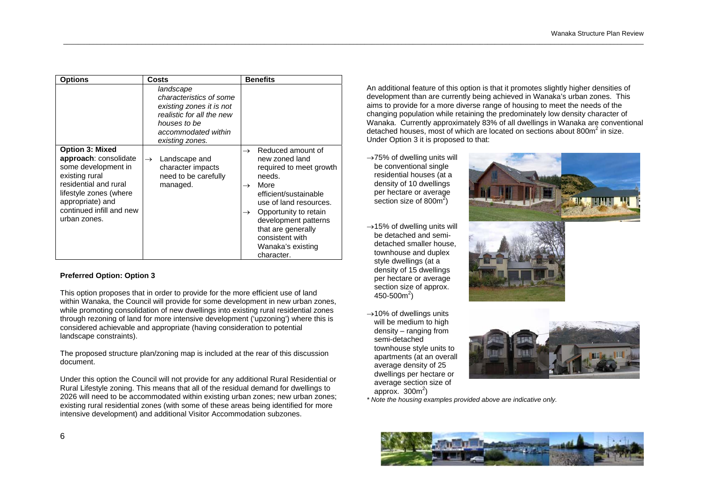| <b>Options</b>                                                                                                                                                                                              | Costs                                                                                                                                                   | <b>Benefits</b>                                                                                                                                                                                                                                                                                                     |
|-------------------------------------------------------------------------------------------------------------------------------------------------------------------------------------------------------------|---------------------------------------------------------------------------------------------------------------------------------------------------------|---------------------------------------------------------------------------------------------------------------------------------------------------------------------------------------------------------------------------------------------------------------------------------------------------------------------|
|                                                                                                                                                                                                             | landscape<br>characteristics of some<br>existing zones it is not<br>realistic for all the new<br>houses to be<br>accommodated within<br>existing zones. |                                                                                                                                                                                                                                                                                                                     |
| <b>Option 3: Mixed</b><br>approach: consolidate<br>some development in<br>existing rural<br>residential and rural<br>lifestyle zones (where<br>appropriate) and<br>continued infill and new<br>urban zones. | Landscape and<br>$\rightarrow$<br>character impacts<br>need to be carefully<br>managed.                                                                 | Reduced amount of<br>$\rightarrow$<br>new zoned land<br>required to meet growth<br>needs.<br>More<br>$\rightarrow$<br>efficient/sustainable<br>use of land resources.<br>Opportunity to retain<br>$\rightarrow$<br>development patterns<br>that are generally<br>consistent with<br>Wanaka's existing<br>character. |

# **Preferred Option: Option 3**

This option proposes that in order to provide for the more efficient use of land within Wanaka, the Council will provide for some development in new urban zones, while promoting consolidation of new dwellings into existing rural residential zones through rezoning of land for more intensive development ('upzoning') where this is considered achievable and appropriate (having consideration to potential landscape constraints).

The proposed structure plan/zoning map is included at the rear of this discussion document.

Under this option the Council will not provide for any additional Rural Residential or Rural Lifestyle zoning. This means that all of the residual demand for dwellings to 2026 will need to be accommodated within existing urban zones; new urban zones; existing rural residential zones (with some of these areas being identified for more intensive development) and additional Visitor Accommodation subzones.

An additional feature of this option is that it promotes slightly higher densities of development than are currently being achieved in Wanaka's urban zones. This aims to provide for a more diverse range of housing to meet the needs of the changing population while retaining the predominately low density character of Wanaka. Currently approximately 83% of all dwellings in Wanaka are conventional detached houses, most of which are located on sections about 800m<sup>2</sup> in size. Under Option 3 it is proposed to that:

 $\rightarrow$ 75% of dwelling units will be conventional single residential houses (at a density of 10 dwellings per hectare or average section size of  $800m^2$ )

\_\_\_\_\_\_\_\_\_\_\_\_\_\_\_\_\_\_\_\_\_\_\_\_\_\_\_\_\_\_\_\_\_\_\_\_\_\_\_\_\_\_\_\_\_\_\_\_\_\_\_\_\_\_\_\_\_\_\_\_\_\_\_\_\_\_\_\_\_\_\_\_\_\_\_\_\_\_\_\_\_\_\_\_\_\_\_\_\_\_\_\_\_\_\_\_\_\_\_\_\_\_\_\_\_\_\_\_\_\_\_\_\_\_\_\_\_\_\_\_\_\_\_\_\_\_\_\_\_\_\_\_\_\_\_\_\_\_\_\_\_\_\_\_\_\_\_\_\_\_\_\_\_\_\_\_

- $\rightarrow$ 15% of dwelling units will be detached and semidetached smaller house, townhouse and duplex style dwellings (at a density of 15 dwellings per hectare or average section size of approx.  $450 - 500m^2$
- $\rightarrow$ 10% of dwellings units will be medium to high density – ranging from semi-detached townhouse style units to apartments (at an overall average density of 25 dwellings per hectare or average section size of approx.  $300<sup>m²</sup>$







*\* Note the housing examples provided above are indicative only.* 

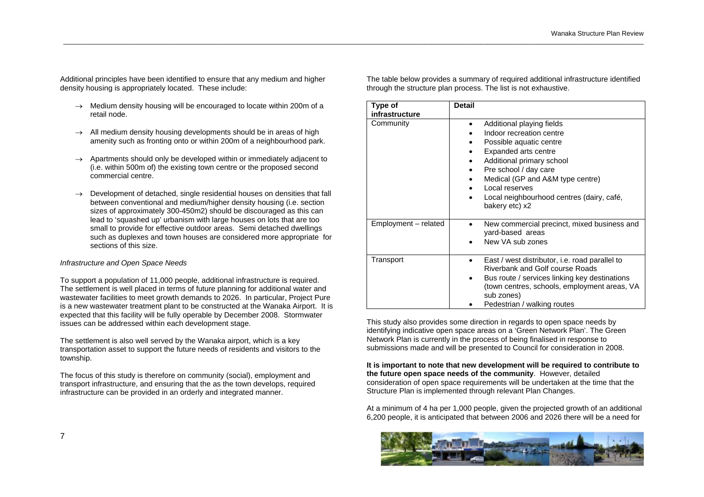Additional principles have been identified to ensure that any medium and higher density housing is appropriately located. These include:

- $\rightarrow$  Medium density housing will be encouraged to locate within 200m of a retail node.
- $\rightarrow$  All medium density housing developments should be in areas of high amenity such as fronting onto or within 200m of a neighbourhood park.
- $\rightarrow$  Apartments should only be developed within or immediately adjacent to (i.e. within 500m of) the existing town centre or the proposed second commercial centre.
- $\rightarrow$  Development of detached, single residential houses on densities that fall between conventional and medium/higher density housing (i.e. section sizes of approximately 300-450m2) should be discouraged as this can lead to 'squashed up' urbanism with large houses on lots that are too small to provide for effective outdoor areas. Semi detached dwellings such as duplexes and town houses are considered more appropriate for sections of this size.

# *Infrastructure and Open Space Needs*

To support a population of 11,000 people, additional infrastructure is required. The settlement is well placed in terms of future planning for additional water and wastewater facilities to meet growth demands to 2026. In particular, Project Pure is a new wastewater treatment plant to be constructed at the Wanaka Airport. It is expected that this facility will be fully operable by December 2008. Stormwater issues can be addressed within each development stage.

The settlement is also well served by the Wanaka airport, which is a key transportation asset to support the future needs of residents and visitors to the township.

The focus of this study is therefore on community (social), employment and transport infrastructure, and ensuring that the as the town develops, required infrastructure can be provided in an orderly and integrated manner.

The table below provides a summary of required additional infrastructure identified through the structure plan process. The list is not exhaustive.

\_\_\_\_\_\_\_\_\_\_\_\_\_\_\_\_\_\_\_\_\_\_\_\_\_\_\_\_\_\_\_\_\_\_\_\_\_\_\_\_\_\_\_\_\_\_\_\_\_\_\_\_\_\_\_\_\_\_\_\_\_\_\_\_\_\_\_\_\_\_\_\_\_\_\_\_\_\_\_\_\_\_\_\_\_\_\_\_\_\_\_\_\_\_\_\_\_\_\_\_\_\_\_\_\_\_\_\_\_\_\_\_\_\_\_\_\_\_\_\_\_\_\_\_\_\_\_\_\_\_\_\_\_\_\_\_\_\_\_\_\_\_\_\_\_\_\_\_\_\_\_\_\_\_\_\_

| Type of<br>infrastructure | <b>Detail</b>                                                                                                                                                                                                                                                                            |
|---------------------------|------------------------------------------------------------------------------------------------------------------------------------------------------------------------------------------------------------------------------------------------------------------------------------------|
| Community                 | Additional playing fields<br>٠<br>Indoor recreation centre<br>Possible aquatic centre<br>Expanded arts centre<br>Additional primary school<br>Pre school / day care<br>Medical (GP and A&M type centre)<br>Local reserves<br>Local neighbourhood centres (dairy, café,<br>bakery etc) x2 |
| Employment - related      | New commercial precinct, mixed business and<br>yard-based areas<br>New VA sub zones                                                                                                                                                                                                      |
| Transport                 | East / west distributor, i.e. road parallel to<br>Riverbank and Golf course Roads<br>Bus route / services linking key destinations<br>(town centres, schools, employment areas, VA<br>sub zones)<br>Pedestrian / walking routes                                                          |

This study also provides some direction in regards to open space needs by identifying indicative open space areas on a 'Green Network Plan'. The Green Network Plan is currently in the process of being finalised in response to submissions made and will be presented to Council for consideration in 2008.

**It is important to note that new development will be required to contribute to the future open space needs of the community**. However, detailed consideration of open space requirements will be undertaken at the time that the Structure Plan is implemented through relevant Plan Changes.

At a minimum of 4 ha per 1,000 people, given the projected growth of an additional 6,200 people, it is anticipated that between 2006 and 2026 there will be a need for

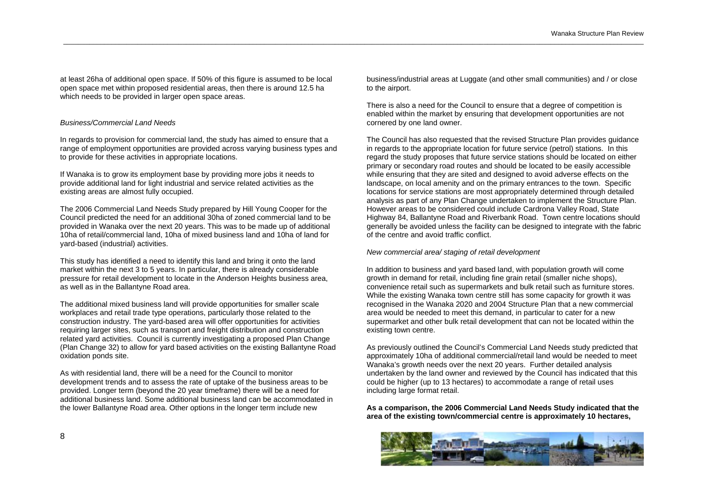at least 26ha of additional open space. If 50% of this figure is assumed to be local open space met within proposed residential areas, then there is around 12.5 ha which needs to be provided in larger open space areas.

# *Business/Commercial Land Needs*

In regards to provision for commercial land, the study has aimed to ensure that a range of employment opportunities are provided across varying business types and to provide for these activities in appropriate locations.

If Wanaka is to grow its employment base by providing more jobs it needs to provide additional land for light industrial and service related activities as the existing areas are almost fully occupied.

The 2006 Commercial Land Needs Study prepared by Hill Young Cooper for the Council predicted the need for an additional 30ha of zoned commercial land to be provided in Wanaka over the next 20 years. This was to be made up of additional 10ha of retail/commercial land, 10ha of mixed business land and 10ha of land for yard-based (industrial) activities.

This study has identified a need to identify this land and bring it onto the land market within the next 3 to 5 years. In particular, there is already considerable pressure for retail development to locate in the Anderson Heights business area, as well as in the Ballantyne Road area.

The additional mixed business land will provide opportunities for smaller scale workplaces and retail trade type operations, particularly those related to the construction industry. The yard-based area will offer opportunities for activities requiring larger sites, such as transport and freight distribution and construction related yard activities. Council is currently investigating a proposed Plan Change (Plan Change 32) to allow for yard based activities on the existing Ballantyne Road oxidation ponds site.

As with residential land, there will be a need for the Council to monitor development trends and to assess the rate of uptake of the business areas to be provided. Longer term (beyond the 20 year timeframe) there will be a need for additional business land. Some additional business land can be accommodated in the lower Ballantyne Road area. Other options in the longer term include new

business/industrial areas at Luggate (and other small communities) and / or close to the airport.

There is also a need for the Council to ensure that a degree of competition is enabled within the market by ensuring that development opportunities are not cornered by one land owner.

The Council has also requested that the revised Structure Plan provides guidance in regards to the appropriate location for future service (petrol) stations. In this regard the study proposes that future service stations should be located on either primary or secondary road routes and should be located to be easily accessible while ensuring that they are sited and designed to avoid adverse effects on the landscape, on local amenity and on the primary entrances to the town. Specific locations for service stations are most appropriately determined through detailed analysis as part of any Plan Change undertaken to implement the Structure Plan. However areas to be considered could include Cardrona Valley Road, State Highway 84, Ballantyne Road and Riverbank Road. Town centre locations should generally be avoided unless the facility can be designed to integrate with the fabric of the centre and avoid traffic conflict.

#### *New commercial area/ staging of retail development*

\_\_\_\_\_\_\_\_\_\_\_\_\_\_\_\_\_\_\_\_\_\_\_\_\_\_\_\_\_\_\_\_\_\_\_\_\_\_\_\_\_\_\_\_\_\_\_\_\_\_\_\_\_\_\_\_\_\_\_\_\_\_\_\_\_\_\_\_\_\_\_\_\_\_\_\_\_\_\_\_\_\_\_\_\_\_\_\_\_\_\_\_\_\_\_\_\_\_\_\_\_\_\_\_\_\_\_\_\_\_\_\_\_\_\_\_\_\_\_\_\_\_\_\_\_\_\_\_\_\_\_\_\_\_\_\_\_\_\_\_\_\_\_\_\_\_\_\_\_\_\_\_\_\_\_\_

In addition to business and yard based land, with population growth will come growth in demand for retail, including fine grain retail (smaller niche shops), convenience retail such as supermarkets and bulk retail such as furniture stores. While the existing Wanaka town centre still has some capacity for growth it was recognised in the Wanaka 2020 and 2004 Structure Plan that a new commercial area would be needed to meet this demand, in particular to cater for a new supermarket and other bulk retail development that can not be located within the existing town centre.

As previously outlined the Council's Commercial Land Needs study predicted that approximately 10ha of additional commercial/retail land would be needed to meet Wanaka's growth needs over the next 20 years. Further detailed analysis undertaken by the land owner and reviewed by the Council has indicated that this could be higher (up to 13 hectares) to accommodate a range of retail uses including large format retail.

**As a comparison, the 2006 Commercial Land Needs Study indicated that the area of the existing town/commercial centre is approximately 10 hectares,** 

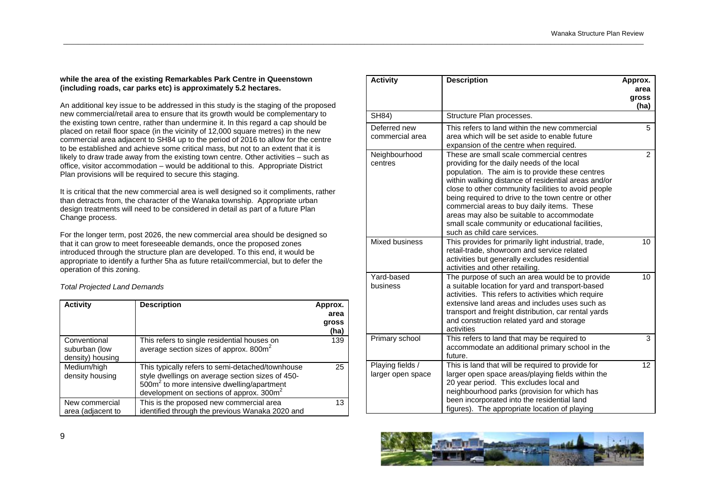# **while the area of the existing Remarkables Park Centre in Queenstown (including roads, car parks etc) is approximately 5.2 hectares.**

\_\_\_\_\_\_\_\_\_\_\_\_\_\_\_\_\_\_\_\_\_\_\_\_\_\_\_\_\_\_\_\_\_\_\_\_\_\_\_\_\_\_\_\_\_\_\_\_\_\_\_\_\_\_\_\_\_\_\_\_\_\_\_\_\_\_\_\_\_\_\_\_\_\_\_\_\_\_\_\_\_\_\_\_\_\_\_\_\_\_\_\_\_\_\_\_\_\_\_\_\_\_\_\_\_\_\_\_\_\_\_\_\_\_\_\_\_\_\_\_\_\_\_\_\_\_\_\_\_\_\_\_\_\_\_\_\_\_\_\_\_\_\_\_\_\_\_\_\_\_\_\_\_\_\_\_

An additional key issue to be addressed in this study is the staging of the proposed new commercial/retail area to ensure that its growth would be complementary to the existing town centre, rather than undermine it. In this regard a cap should be placed on retail floor space (in the vicinity of 12,000 square metres) in the new commercial area adjacent to SH84 up to the period of 2016 to allow for the centre to be established and achieve some critical mass, but not to an extent that it is likely to draw trade away from the existing town centre. Other activities – such as office, visitor accommodation – would be additional to this. Appropriate District Plan provisions will be required to secure this staging.

It is critical that the new commercial area is well designed so it compliments, rather than detracts from, the character of the Wanaka township. Appropriate urban design treatments will need to be considered in detail as part of a future Plan Change process.

For the longer term, post 2026, the new commercial area should be designed so that it can grow to meet foreseeable demands, once the proposed zones introduced through the structure plan are developed. To this end, it would be appropriate to identify a further 5ha as future retail/commercial, but to defer the operation of this zoning.

*Total Projected Land Demands*

| <b>Activity</b>                                   | <b>Description</b>                                                                                                                                                                                                     | Approx.<br>area<br>gross<br>(ha) |
|---------------------------------------------------|------------------------------------------------------------------------------------------------------------------------------------------------------------------------------------------------------------------------|----------------------------------|
| Conventional<br>suburban (low<br>density) housing | This refers to single residential houses on<br>average section sizes of approx. 800m <sup>2</sup>                                                                                                                      | 139                              |
| Medium/high<br>density housing                    | This typically refers to semi-detached/townhouse<br>style dwellings on average section sizes of 450-<br>500m <sup>2</sup> to more intensive dwelling/apartment<br>development on sections of approx. 300m <sup>2</sup> | 25                               |
| New commercial<br>area (adjacent to               | This is the proposed new commercial area<br>identified through the previous Wanaka 2020 and                                                                                                                            | 13                               |

| <b>Activity</b>                       | <b>Description</b>                                                                                                                                                                                                                                                                                                                                                                                                                                                                            | Approx.               |
|---------------------------------------|-----------------------------------------------------------------------------------------------------------------------------------------------------------------------------------------------------------------------------------------------------------------------------------------------------------------------------------------------------------------------------------------------------------------------------------------------------------------------------------------------|-----------------------|
|                                       |                                                                                                                                                                                                                                                                                                                                                                                                                                                                                               | area<br>gross<br>(ha) |
| SH84)                                 | Structure Plan processes.                                                                                                                                                                                                                                                                                                                                                                                                                                                                     |                       |
| Deferred new<br>commercial area       | This refers to land within the new commercial<br>area which will be set aside to enable future<br>expansion of the centre when required.                                                                                                                                                                                                                                                                                                                                                      | 5                     |
| Neighbourhood<br>centres              | These are small scale commercial centres<br>providing for the daily needs of the local<br>population. The aim is to provide these centres<br>within walking distance of residential areas and/or<br>close to other community facilities to avoid people<br>being required to drive to the town centre or other<br>commercial areas to buy daily items. These<br>areas may also be suitable to accommodate<br>small scale community or educational facilities,<br>such as child care services. | 2                     |
| Mixed business                        | This provides for primarily light industrial, trade,<br>retail-trade, showroom and service related<br>activities but generally excludes residential<br>activities and other retailing.                                                                                                                                                                                                                                                                                                        | 10                    |
| Yard-based<br>business                | The purpose of such an area would be to provide<br>a suitable location for yard and transport-based<br>activities. This refers to activities which require<br>extensive land areas and includes uses such as<br>transport and freight distribution, car rental yards<br>and construction related yard and storage<br>activities                                                                                                                                                               | 10 <sup>1</sup>       |
| Primary school                        | This refers to land that may be required to<br>accommodate an additional primary school in the<br>future.                                                                                                                                                                                                                                                                                                                                                                                     | 3                     |
| Playing fields /<br>larger open space | This is land that will be required to provide for<br>larger open space areas/playing fields within the<br>20 year period. This excludes local and<br>neighbourhood parks (provision for which has<br>been incorporated into the residential land<br>figures). The appropriate location of playing                                                                                                                                                                                             | 12                    |

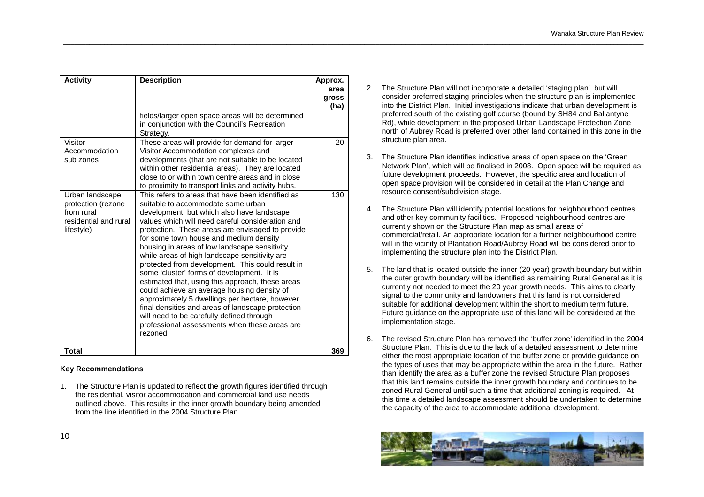| <b>Activity</b>                                                                            | <b>Description</b>                                                                                                                                                                                                                                                                                                                                                                                                                                                                                                                                                                                                                                                                                                                                                                                              | Approx.<br>area<br>gross<br>(ha) |
|--------------------------------------------------------------------------------------------|-----------------------------------------------------------------------------------------------------------------------------------------------------------------------------------------------------------------------------------------------------------------------------------------------------------------------------------------------------------------------------------------------------------------------------------------------------------------------------------------------------------------------------------------------------------------------------------------------------------------------------------------------------------------------------------------------------------------------------------------------------------------------------------------------------------------|----------------------------------|
|                                                                                            | fields/larger open space areas will be determined<br>in conjunction with the Council's Recreation<br>Strategy.                                                                                                                                                                                                                                                                                                                                                                                                                                                                                                                                                                                                                                                                                                  |                                  |
| Visitor<br>Accommodation<br>sub zones                                                      | These areas will provide for demand for larger<br>Visitor Accommodation complexes and<br>developments (that are not suitable to be located<br>within other residential areas). They are located<br>close to or within town centre areas and in close<br>to proximity to transport links and activity hubs.                                                                                                                                                                                                                                                                                                                                                                                                                                                                                                      | 20                               |
| Urban landscape<br>protection (rezone<br>from rural<br>residential and rural<br>lifestyle) | This refers to areas that have been identified as<br>suitable to accommodate some urban<br>development, but which also have landscape<br>values which will need careful consideration and<br>protection. These areas are envisaged to provide<br>for some town house and medium density<br>housing in areas of low landscape sensitivity<br>while areas of high landscape sensitivity are<br>protected from development. This could result in<br>some 'cluster' forms of development. It is<br>estimated that, using this approach, these areas<br>could achieve an average housing density of<br>approximately 5 dwellings per hectare, however<br>final densities and areas of landscape protection<br>will need to be carefully defined through<br>professional assessments when these areas are<br>rezoned. | 130                              |
| Total                                                                                      |                                                                                                                                                                                                                                                                                                                                                                                                                                                                                                                                                                                                                                                                                                                                                                                                                 | 369                              |

# **Key Recommendations**

1. The Structure Plan is updated to reflect the growth figures identified through the residential, visitor accommodation and commercial land use needs outlined above. This results in the inner growth boundary being amended from the line identified in the 2004 Structure Plan.

2. The Structure Plan will not incorporate a detailed 'staging plan', but will consider preferred staging principles when the structure plan is implemented into the District Plan. Initial investigations indicate that urban development is preferred south of the existing golf course (bound by SH84 and Ballantyne Rd), while development in the proposed Urban Landscape Protection Zone north of Aubrey Road is preferred over other land contained in this zone in the structure plan area.

- 3. The Structure Plan identifies indicative areas of open space on the 'Green Network Plan', which will be finalised in 2008. Open space will be required as future development proceeds. However, the specific area and location of open space provision will be considered in detail at the Plan Change and resource consent/subdivision stage.
- 4. The Structure Plan will identify potential locations for neighbourhood centres and other key community facilities. Proposed neighbourhood centres are currently shown on the Structure Plan map as small areas of commercial/retail. An appropriate location for a further neighbourhood centre will in the vicinity of Plantation Road/Aubrey Road will be considered prior to implementing the structure plan into the District Plan.
- 5. The land that is located outside the inner (20 year) growth boundary but within the outer growth boundary will be identified as remaining Rural General as it is currently not needed to meet the 20 year growth needs. This aims to clearly signal to the community and landowners that this land is not considered suitable for additional development within the short to medium term future. Future guidance on the appropriate use of this land will be considered at the implementation stage.
- 6. The revised Structure Plan has removed the 'buffer zone' identified in the 2004 Structure Plan. This is due to the lack of a detailed assessment to determine either the most appropriate location of the buffer zone or provide guidance on the types of uses that may be appropriate within the area in the future. Rather than identify the area as a buffer zone the revised Structure Plan proposes that this land remains outside the inner growth boundary and continues to be zoned Rural General until such a time that additional zoning is required. At this time a detailed landscape assessment should be undertaken to determine the capacity of the area to accommodate additional development.

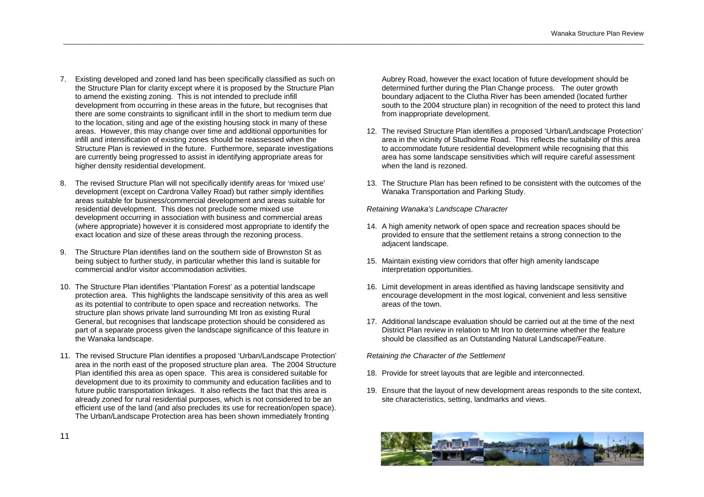- 7. Existing developed and zoned land has been specifically classified as such on the Structure Plan for clarity except where it is proposed by the Structure Plan to amend the existing zoning. This is not intended to preclude infill development from occurring in these areas in the future, but recognises that there are some constraints to significant infill in the short to medium term due to the location, siting and age of the existing housing stock in many of these areas. However, this may change over time and additional opportunities for infill and intensification of existing zones should be reassessed when the Structure Plan is reviewed in the future. Furthermore, separate investigations are currently being progressed to assist in identifying appropriate areas for higher density residential development.
- 8. The revised Structure Plan will not specifically identify areas for 'mixed use' development (except on Cardrona Valley Road) but rather simply identifies areas suitable for business/commercial development and areas suitable for residential development. This does not preclude some mixed use development occurring in association with business and commercial areas (where appropriate) however it is considered most appropriate to identify the exact location and size of these areas through the rezoning process.
- 9. The Structure Plan identifies land on the southern side of Brownston St as being subject to further study, in particular whether this land is suitable for commercial and/or visitor accommodation activities.
- 10. The Structure Plan identifies 'Plantation Forest' as a potential landscape protection area. This highlights the landscape sensitivity of this area as well as its potential to contribute to open space and recreation networks. The structure plan shows private land surrounding Mt Iron as existing Rural General, but recognises that landscape protection should be considered as part of a separate process given the landscape significance of this feature in the Wanaka landscape.
- 11. The revised Structure Plan identifies a proposed 'Urban/Landscape Protection' area in the north east of the proposed structure plan area. The 2004 Structure Plan identified this area as open space. This area is considered suitable for development due to its proximity to community and education facilities and to future public transportation linkages. It also reflects the fact that this area is already zoned for rural residential purposes, which is not considered to be an efficient use of the land (and also precludes its use for recreation/open space). The Urban/Landscape Protection area has been shown immediately fronting

Aubrey Road, however the exact location of future development should be determined further during the Plan Change process. The outer growth boundary adjacent to the Clutha River has been amended (located further south to the 2004 structure plan) in recognition of the need to protect this land from inappropriate development.

- 12. The revised Structure Plan identifies a proposed 'Urban/Landscape Protection' area in the vicinity of Studholme Road. This reflects the suitability of this area to accommodate future residential development while recognising that this area has some landscape sensitivities which will require careful assessment when the land is rezoned.
- 13. The Structure Plan has been refined to be consistent with the outcomes of the Wanaka Transportation and Parking Study.

*Retaining Wanaka's Landscape Character* 

\_\_\_\_\_\_\_\_\_\_\_\_\_\_\_\_\_\_\_\_\_\_\_\_\_\_\_\_\_\_\_\_\_\_\_\_\_\_\_\_\_\_\_\_\_\_\_\_\_\_\_\_\_\_\_\_\_\_\_\_\_\_\_\_\_\_\_\_\_\_\_\_\_\_\_\_\_\_\_\_\_\_\_\_\_\_\_\_\_\_\_\_\_\_\_\_\_\_\_\_\_\_\_\_\_\_\_\_\_\_\_\_\_\_\_\_\_\_\_\_\_\_\_\_\_\_\_\_\_\_\_\_\_\_\_\_\_\_\_\_\_\_\_\_\_\_\_\_\_\_\_\_\_\_\_\_

- 14. A high amenity network of open space and recreation spaces should be provided to ensure that the settlement retains a strong connection to the adjacent landscape.
- 15. Maintain existing view corridors that offer high amenity landscape interpretation opportunities.
- 16. Limit development in areas identified as having landscape sensitivity and encourage development in the most logical, convenient and less sensitive areas of the town.
- 17. Additional landscape evaluation should be carried out at the time of the next District Plan review in relation to Mt Iron to determine whether the feature should be classified as an Outstanding Natural Landscape/Feature.

*Retaining the Character of the Settlement* 

- 18. Provide for street layouts that are legible and interconnected.
- 19. Ensure that the layout of new development areas responds to the site context, site characteristics, setting, landmarks and views.

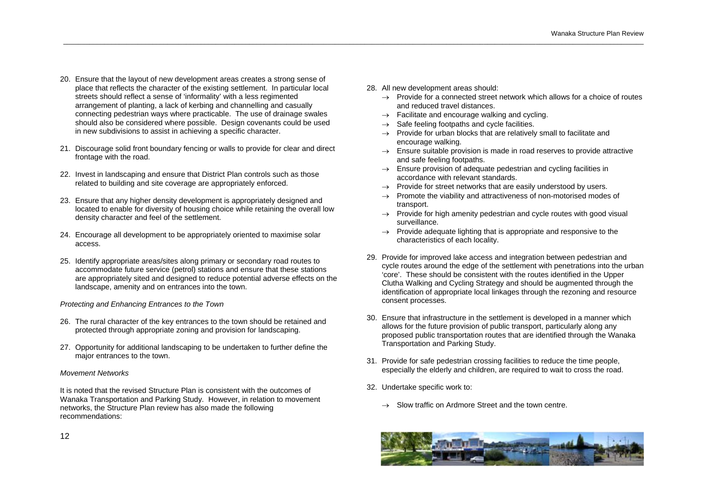- 20. Ensure that the layout of new development areas creates a strong sense of place that reflects the character of the existing settlement. In particular local streets should reflect a sense of 'informality' with a less regimented arrangement of planting, a lack of kerbing and channelling and casually connecting pedestrian ways where practicable. The use of drainage swales should also be considered where possible. Design covenants could be used in new subdivisions to assist in achieving a specific character.
- 21. Discourage solid front boundary fencing or walls to provide for clear and direct frontage with the road.
- 22. Invest in landscaping and ensure that District Plan controls such as those related to building and site coverage are appropriately enforced.
- 23. Ensure that any higher density development is appropriately designed and located to enable for diversity of housing choice while retaining the overall low density character and feel of the settlement.
- 24. Encourage all development to be appropriately oriented to maximise solar access.
- 25. Identify appropriate areas/sites along primary or secondary road routes to accommodate future service (petrol) stations and ensure that these stations are appropriately sited and designed to reduce potential adverse effects on the landscape, amenity and on entrances into the town.

# *Protecting and Enhancing Entrances to the Town*

- 26. The rural character of the key entrances to the town should be retained and protected through appropriate zoning and provision for landscaping.
- 27. Opportunity for additional landscaping to be undertaken to further define the major entrances to the town.

# *Movement Networks*

It is noted that the revised Structure Plan is consistent with the outcomes of Wanaka Transportation and Parking Study. However, in relation to movement networks, the Structure Plan review has also made the following recommendations:

28. All new development areas should:

\_\_\_\_\_\_\_\_\_\_\_\_\_\_\_\_\_\_\_\_\_\_\_\_\_\_\_\_\_\_\_\_\_\_\_\_\_\_\_\_\_\_\_\_\_\_\_\_\_\_\_\_\_\_\_\_\_\_\_\_\_\_\_\_\_\_\_\_\_\_\_\_\_\_\_\_\_\_\_\_\_\_\_\_\_\_\_\_\_\_\_\_\_\_\_\_\_\_\_\_\_\_\_\_\_\_\_\_\_\_\_\_\_\_\_\_\_\_\_\_\_\_\_\_\_\_\_\_\_\_\_\_\_\_\_\_\_\_\_\_\_\_\_\_\_\_\_\_\_\_\_\_\_\_\_\_

- $\rightarrow$  Provide for a connected street network which allows for a choice of routes and reduced travel distances.
- $\rightarrow$  Facilitate and encourage walking and cycling.
- $\rightarrow$  Safe feeling footpaths and cycle facilities.
- $\rightarrow$  Provide for urban blocks that are relatively small to facilitate and encourage walking.
- $\rightarrow$  Ensure suitable provision is made in road reserves to provide attractive and safe feeling footpaths.
- $\rightarrow$  Ensure provision of adequate pedestrian and cycling facilities in accordance with relevant standards.
- $\rightarrow$  Provide for street networks that are easily understood by users.
- $\rightarrow$  Promote the viability and attractiveness of non-motorised modes of transport.
- $\rightarrow$  Provide for high amenity pedestrian and cycle routes with good visual surveillance.
- $\rightarrow$  Provide adequate lighting that is appropriate and responsive to the characteristics of each locality.
- 29. Provide for improved lake access and integration between pedestrian and cycle routes around the edge of the settlement with penetrations into the urban 'core'. These should be consistent with the routes identified in the Upper Clutha Walking and Cycling Strategy and should be augmented through the identification of appropriate local linkages through the rezoning and resource consent processes.
- 30. Ensure that infrastructure in the settlement is developed in a manner which allows for the future provision of public transport, particularly along any proposed public transportation routes that are identified through the Wanaka Transportation and Parking Study.
- 31. Provide for safe pedestrian crossing facilities to reduce the time people, especially the elderly and children, are required to wait to cross the road.
- 32. Undertake specific work to:
	- $\rightarrow$  Slow traffic on Ardmore Street and the town centre.



12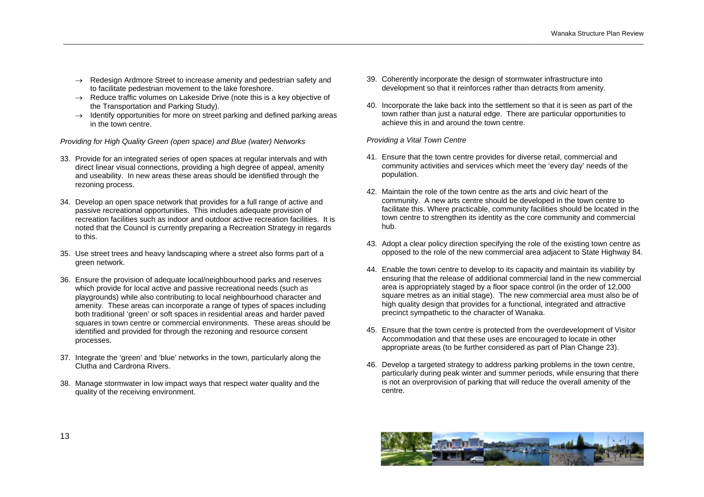- $\rightarrow$  Redesign Ardmore Street to increase amenity and pedestrian safety and to facilitate pedestrian movement to the lake foreshore.
- $\rightarrow$  Reduce traffic volumes on Lakeside Drive (note this is a key objective of the Transportation and Parking Study).
- $\rightarrow$  Identify opportunities for more on street parking and defined parking areas in the town centre.

*Providing for High Quality Green (open space) and Blue (water) Networks* 

- 33. Provide for an integrated series of open spaces at regular intervals and with direct linear visual connections, providing a high degree of appeal, amenity and useability. In new areas these areas should be identified through the rezoning process.
- 34. Develop an open space network that provides for a full range of active and passive recreational opportunities. This includes adequate provision of recreation facilities such as indoor and outdoor active recreation facilities. It is noted that the Council is currently preparing a Recreation Strategy in regards to this.
- 35. Use street trees and heavy landscaping where a street also forms part of a green network.
- 36. Ensure the provision of adequate local/neighbourhood parks and reserves which provide for local active and passive recreational needs (such as playgrounds) while also contributing to local neighbourhood character and amenity. These areas can incorporate a range of types of spaces including both traditional 'green' or soft spaces in residential areas and harder paved squares in town centre or commercial environments. These areas should be identified and provided for through the rezoning and resource consent processes.
- 37. Integrate the 'green' and 'blue' networks in the town, particularly along the Clutha and Cardrona Rivers.
- 38. Manage stormwater in low impact ways that respect water quality and the quality of the receiving environment.
- 39. Coherently incorporate the design of stormwater infrastructure into development so that it reinforces rather than detracts from amenity.
- 40. Incorporate the lake back into the settlement so that it is seen as part of the town rather than just a natural edge. There are particular opportunities to achieve this in and around the town centre.

*Providing a Vital Town Centre* 

- 41. Ensure that the town centre provides for diverse retail, commercial and community activities and services which meet the 'every day' needs of the population.
- 42. Maintain the role of the town centre as the arts and civic heart of the community. A new arts centre should be developed in the town centre to facilitate this. Where practicable, community facilities should be located in the town centre to strengthen its identity as the core community and commercial hub.
- 43. Adopt a clear policy direction specifying the role of the existing town centre as opposed to the role of the new commercial area adjacent to State Highway 84.
- 44. Enable the town centre to develop to its capacity and maintain its viability by ensuring that the release of additional commercial land in the new commercial area is appropriately staged by a floor space control (in the order of 12,000 square metres as an initial stage). The new commercial area must also be of high quality design that provides for a functional, integrated and attractive precinct sympathetic to the character of Wanaka.
- 45. Ensure that the town centre is protected from the overdevelopment of Visitor Accommodation and that these uses are encouraged to locate in other appropriate areas (to be further considered as part of Plan Change 23).
- 46. Develop a targeted strategy to address parking problems in the town centre, particularly during peak winter and summer periods, while ensuring that there is not an overprovision of parking that will reduce the overall amenity of the centre.

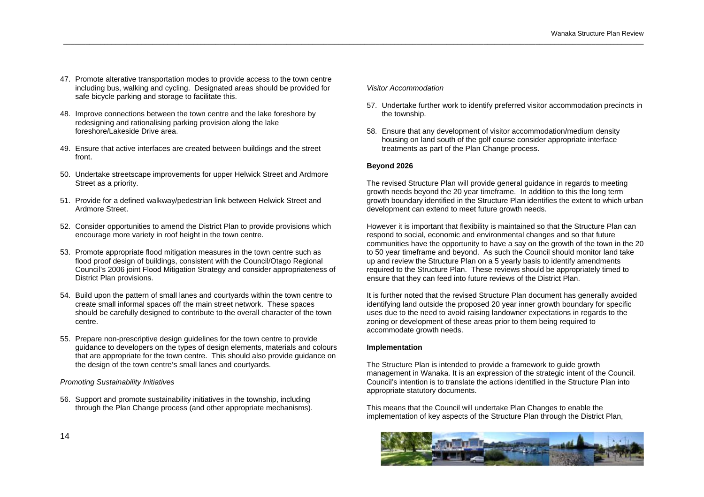- 47. Promote alterative transportation modes to provide access to the town centre including bus, walking and cycling. Designated areas should be provided for safe bicycle parking and storage to facilitate this.
- 48. Improve connections between the town centre and the lake foreshore by redesigning and rationalising parking provision along the lake foreshore/Lakeside Drive area.
- 49. Ensure that active interfaces are created between buildings and the street front.
- 50. Undertake streetscape improvements for upper Helwick Street and Ardmore Street as a priority.
- 51. Provide for a defined walkway/pedestrian link between Helwick Street and Ardmore Street.
- 52. Consider opportunities to amend the District Plan to provide provisions which encourage more variety in roof height in the town centre.
- 53. Promote appropriate flood mitigation measures in the town centre such as flood proof design of buildings, consistent with the Council/Otago Regional Council's 2006 joint Flood Mitigation Strategy and consider appropriateness of District Plan provisions.
- 54. Build upon the pattern of small lanes and courtyards within the town centre to create small informal spaces off the main street network. These spaces should be carefully designed to contribute to the overall character of the town centre.
- 55. Prepare non-prescriptive design guidelines for the town centre to provide guidance to developers on the types of design elements, materials and colours that are appropriate for the town centre. This should also provide guidance on the design of the town centre's small lanes and courtyards.

# *Promoting Sustainability Initiatives*

56. Support and promote sustainability initiatives in the township, including through the Plan Change process (and other appropriate mechanisms).

# *Visitor Accommodation*

- 57. Undertake further work to identify preferred visitor accommodation precincts in the township.
- 58. Ensure that any development of visitor accommodation/medium density housing on land south of the golf course consider appropriate interface treatments as part of the Plan Change process.

# **Beyond 2026**

\_\_\_\_\_\_\_\_\_\_\_\_\_\_\_\_\_\_\_\_\_\_\_\_\_\_\_\_\_\_\_\_\_\_\_\_\_\_\_\_\_\_\_\_\_\_\_\_\_\_\_\_\_\_\_\_\_\_\_\_\_\_\_\_\_\_\_\_\_\_\_\_\_\_\_\_\_\_\_\_\_\_\_\_\_\_\_\_\_\_\_\_\_\_\_\_\_\_\_\_\_\_\_\_\_\_\_\_\_\_\_\_\_\_\_\_\_\_\_\_\_\_\_\_\_\_\_\_\_\_\_\_\_\_\_\_\_\_\_\_\_\_\_\_\_\_\_\_\_\_\_\_\_\_\_\_

The revised Structure Plan will provide general guidance in regards to meeting growth needs beyond the 20 year timeframe. In addition to this the long term growth boundary identified in the Structure Plan identifies the extent to which urban development can extend to meet future growth needs.

However it is important that flexibility is maintained so that the Structure Plan can respond to social, economic and environmental changes and so that future communities have the opportunity to have a say on the growth of the town in the 20 to 50 year timeframe and beyond. As such the Council should monitor land take up and review the Structure Plan on a 5 yearly basis to identify amendments required to the Structure Plan. These reviews should be appropriately timed to ensure that they can feed into future reviews of the District Plan.

It is further noted that the revised Structure Plan document has generally avoided identifying land outside the proposed 20 year inner growth boundary for specific uses due to the need to avoid raising landowner expectations in regards to the zoning or development of these areas prior to them being required to accommodate growth needs.

# **Implementation**

The Structure Plan is intended to provide a framework to guide growth management in Wanaka. It is an expression of the strategic intent of the Council. Council's intention is to translate the actions identified in the Structure Plan into appropriate statutory documents.

This means that the Council will undertake Plan Changes to enable the implementation of key aspects of the Structure Plan through the District Plan,

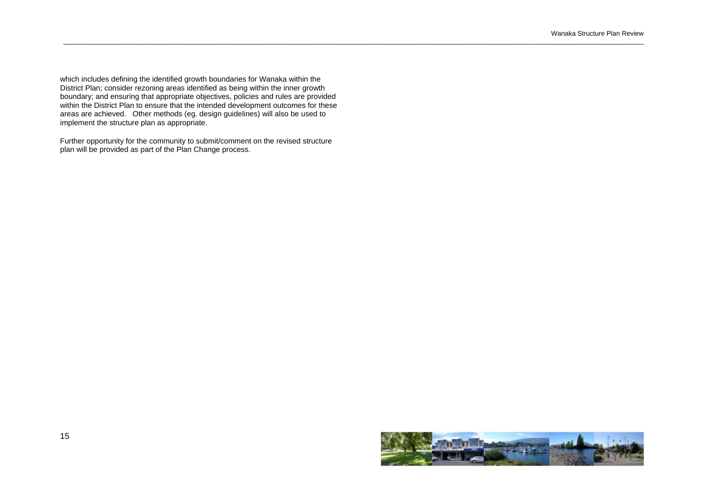which includes defining the identified growth boundaries for Wanaka within the District Plan; consider rezoning areas identified as being within the inner growth boundary; and ensuring that appropriate objectives, policies and rules are provided within the District Plan to ensure that the intended development outcomes for these areas are achieved. Other methods (eg. design guidelines) will also be used to implement the structure plan as appropriate.

\_\_\_\_\_\_\_\_\_\_\_\_\_\_\_\_\_\_\_\_\_\_\_\_\_\_\_\_\_\_\_\_\_\_\_\_\_\_\_\_\_\_\_\_\_\_\_\_\_\_\_\_\_\_\_\_\_\_\_\_\_\_\_\_\_\_\_\_\_\_\_\_\_\_\_\_\_\_\_\_\_\_\_\_\_\_\_\_\_\_\_\_\_\_\_\_\_\_\_\_\_\_\_\_\_\_\_\_\_\_\_\_\_\_\_\_\_\_\_\_\_\_\_\_\_\_\_\_\_\_\_\_\_\_\_\_\_\_\_\_\_\_\_\_\_\_\_\_\_\_\_\_\_\_\_\_

Further opportunity for the community to submit/comment on the revised structure plan will be provided as part of the Plan Change process.